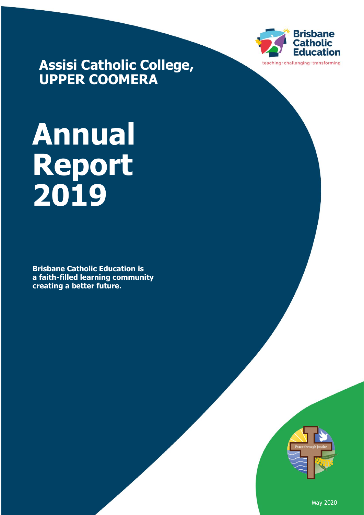

**Assisi Catholic College, UPPER COOMERA**

# **Annual Report 2019**

**Brisbane Catholic Education is a faith-filled learning community creating a better future.**



May 2020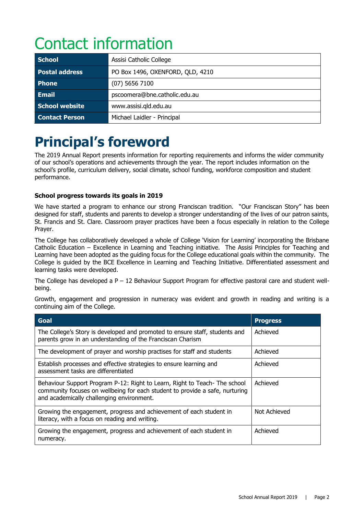# Contact information

| <b>School</b>         | Assisi Catholic College          |  |
|-----------------------|----------------------------------|--|
| <b>Postal address</b> | PO Box 1496, OXENFORD, QLD, 4210 |  |
| <b>Phone</b>          | $(07)$ 5656 7100                 |  |
| <b>Email</b>          | pscoomera@bne.catholic.edu.au    |  |
| <b>School website</b> | www.assisi.gld.edu.au            |  |
| <b>Contact Person</b> | Michael Laidler - Principal      |  |

# **Principal's foreword**

The 2019 Annual Report presents information for reporting requirements and informs the wider community of our school's operations and achievements through the year. The report includes information on the school's profile, curriculum delivery, social climate, school funding, workforce composition and student performance.

### **School progress towards its goals in 2019**

We have started a program to enhance our strong Franciscan tradition. "Our Franciscan Story" has been designed for staff, students and parents to develop a stronger understanding of the lives of our patron saints, St. Francis and St. Clare. Classroom prayer practices have been a focus especially in relation to the College Prayer.

The College has collaboratively developed a whole of College 'Vision for Learning' incorporating the Brisbane Catholic Education – Excellence in Learning and Teaching initiative. The Assisi Principles for Teaching and Learning have been adopted as the guiding focus for the College educational goals within the community. The College is guided by the BCE Excellence in Learning and Teaching Initiative. Differentiated assessment and learning tasks were developed.

The College has developed a  $P - 12$  Behaviour Support Program for effective pastoral care and student wellbeing.

Growth, engagement and progression in numeracy was evident and growth in reading and writing is a continuing aim of the College.

| Goal                                                                                                                                                                                                   | <b>Progress</b> |
|--------------------------------------------------------------------------------------------------------------------------------------------------------------------------------------------------------|-----------------|
| The College's Story is developed and promoted to ensure staff, students and<br>parents grow in an understanding of the Franciscan Charism                                                              | Achieved        |
| The development of prayer and worship practises for staff and students                                                                                                                                 | Achieved        |
| Establish processes and effective strategies to ensure learning and<br>assessment tasks are differentiated                                                                                             | Achieved        |
| Behaviour Support Program P-12: Right to Learn, Right to Teach-The school<br>community focuses on wellbeing for each student to provide a safe, nurturing<br>and academically challenging environment. | Achieved        |
| Growing the engagement, progress and achievement of each student in<br>literacy, with a focus on reading and writing.                                                                                  | Not Achieved    |
| Growing the engagement, progress and achievement of each student in<br>numeracy.                                                                                                                       | Achieved        |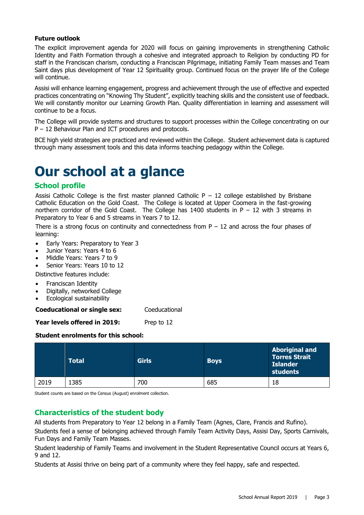### **Future outlook**

The explicit improvement agenda for 2020 will focus on gaining improvements in strengthening Catholic Identity and Faith Formation through a cohesive and integrated approach to Religion by conducting PD for staff in the Franciscan charism, conducting a Franciscan Pilgrimage, initiating Family Team masses and Team Saint days plus development of Year 12 Spirituality group. Continued focus on the prayer life of the College will continue.

Assisi will enhance learning engagement, progress and achievement through the use of effective and expected practices concentrating on "Knowing Thy Student", explicitly teaching skills and the consistent use of feedback. We will constantly monitor our Learning Growth Plan. Quality differentiation in learning and assessment will continue to be a focus.

The College will provide systems and structures to support processes within the College concentrating on our P – 12 Behaviour Plan and ICT procedures and protocols.

BCE high yield strategies are practiced and reviewed within the College. Student achievement data is captured through many assessment tools and this data informs teaching pedagogy within the College.

# **Our school at a glance**

### **School profile**

Assisi Catholic College is the first master planned Catholic  $P - 12$  college established by Brisbane Catholic Education on the Gold Coast. The College is located at Upper Coomera in the fast-growing northern corridor of the Gold Coast. The College has 1400 students in  $P - 12$  with 3 streams in Preparatory to Year 6 and 5 streams in Years 7 to 12.

There is a strong focus on continuity and connectedness from  $P - 12$  and across the four phases of learning:

- Early Years: Preparatory to Year 3
- Junior Years: Years 4 to 6
- Middle Years: Years 7 to 9
- Senior Years: Years 10 to 12

Distinctive features include:

- Franciscan Identity
- Digitally, networked College
- Ecological sustainability

**Coeducational or single sex:** Coeducational

**Year levels offered in 2019:** Prep to 12

### **Student enrolments for this school:**

|      | <b>Total</b> | <b>Girls</b> | <b>Boys</b> | <b>Aboriginal and</b><br><b>Torres Strait</b><br><b>Islander</b><br>students |
|------|--------------|--------------|-------------|------------------------------------------------------------------------------|
| 2019 | :385         | 700          | 685         | 18                                                                           |

Student counts are based on the Census (August) enrolment collection.

# **Characteristics of the student body**

All students from Preparatory to Year 12 belong in a Family Team (Agnes, Clare, Francis and Rufino).

Students feel a sense of belonging achieved through Family Team Activity Days, Assisi Day, Sports Carnivals, Fun Days and Family Team Masses.

Student leadership of Family Teams and involvement in the Student Representative Council occurs at Years 6, 9 and 12.

Students at Assisi thrive on being part of a community where they feel happy, safe and respected.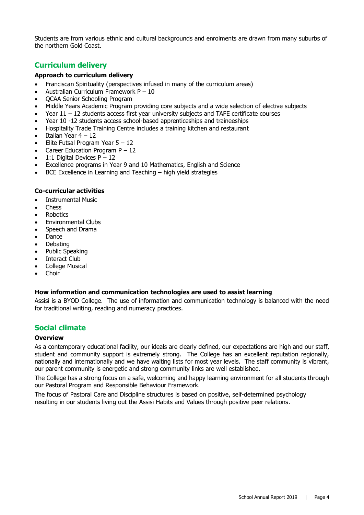Students are from various ethnic and cultural backgrounds and enrolments are drawn from many suburbs of the northern Gold Coast.

## **Curriculum delivery**

### **Approach to curriculum delivery**

- Franciscan Spirituality (perspectives infused in many of the curriculum areas)
- Australian Curriculum Framework P 10
- QCAA Senior Schooling Program
- Middle Years Academic Program providing core subjects and a wide selection of elective subjects
- Year  $11 12$  students access first year university subjects and TAFE certificate courses
- Year 10 -12 students access school-based apprenticeships and traineeships
- Hospitality Trade Training Centre includes a training kitchen and restaurant
- Italian Year 4 12
- Elite Futsal Program Year  $5 12$
- Career Education Program  $P 12$
- 1:1 Digital Devices  $P 12$
- Excellence programs in Year 9 and 10 Mathematics, English and Science
- BCE Excellence in Learning and Teaching high yield strategies

### **Co-curricular activities**

- Instrumental Music
- Chess
- **Robotics**
- Environmental Clubs
- Speech and Drama
- Dance
- Debating
- Public Speaking
- Interact Club
- College Musical
- Choir

### **How information and communication technologies are used to assist learning**

Assisi is a BYOD College. The use of information and communication technology is balanced with the need for traditional writing, reading and numeracy practices.

### **Social climate**

#### **Overview**

As a contemporary educational facility, our ideals are clearly defined, our expectations are high and our staff, student and community support is extremely strong. The College has an excellent reputation regionally, nationally and internationally and we have waiting lists for most year levels. The staff community is vibrant, our parent community is energetic and strong community links are well established.

The College has a strong focus on a safe, welcoming and happy learning environment for all students through our Pastoral Program and Responsible Behaviour Framework.

The focus of Pastoral Care and Discipline structures is based on positive, self-determined psychology resulting in our students living out the Assisi Habits and Values through positive peer relations.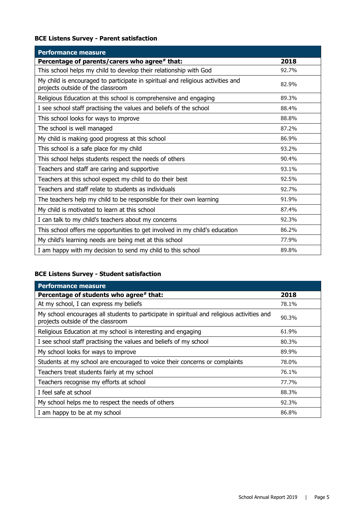# **BCE Listens Survey - Parent satisfaction**

| <b>Performance measure</b>                                                                                           |       |
|----------------------------------------------------------------------------------------------------------------------|-------|
| Percentage of parents/carers who agree# that:                                                                        | 2018  |
| This school helps my child to develop their relationship with God                                                    | 92.7% |
| My child is encouraged to participate in spiritual and religious activities and<br>projects outside of the classroom | 82.9% |
| Religious Education at this school is comprehensive and engaging                                                     | 89.3% |
| I see school staff practising the values and beliefs of the school                                                   | 88.4% |
| This school looks for ways to improve                                                                                | 88.8% |
| The school is well managed                                                                                           | 87.2% |
| My child is making good progress at this school                                                                      | 86.9% |
| This school is a safe place for my child                                                                             | 93.2% |
| This school helps students respect the needs of others                                                               | 90.4% |
| Teachers and staff are caring and supportive                                                                         | 93.1% |
| Teachers at this school expect my child to do their best                                                             | 92.5% |
| Teachers and staff relate to students as individuals                                                                 | 92.7% |
| The teachers help my child to be responsible for their own learning                                                  | 91.9% |
| My child is motivated to learn at this school                                                                        | 87.4% |
| I can talk to my child's teachers about my concerns                                                                  | 92.3% |
| This school offers me opportunities to get involved in my child's education                                          | 86.2% |
| My child's learning needs are being met at this school                                                               | 77.9% |
| I am happy with my decision to send my child to this school                                                          | 89.8% |

# **BCE Listens Survey - Student satisfaction**

| <b>Performance measure</b>                                                                                                      |       |
|---------------------------------------------------------------------------------------------------------------------------------|-------|
| Percentage of students who agree# that:                                                                                         | 2018  |
| At my school, I can express my beliefs                                                                                          | 78.1% |
| My school encourages all students to participate in spiritual and religious activities and<br>projects outside of the classroom | 90.3% |
| Religious Education at my school is interesting and engaging                                                                    | 61.9% |
| I see school staff practising the values and beliefs of my school                                                               | 80.3% |
| My school looks for ways to improve                                                                                             | 89.9% |
| Students at my school are encouraged to voice their concerns or complaints                                                      | 78.0% |
| Teachers treat students fairly at my school                                                                                     | 76.1% |
| Teachers recognise my efforts at school                                                                                         | 77.7% |
| I feel safe at school                                                                                                           | 88.3% |
| My school helps me to respect the needs of others                                                                               | 92.3% |
| I am happy to be at my school                                                                                                   | 86.8% |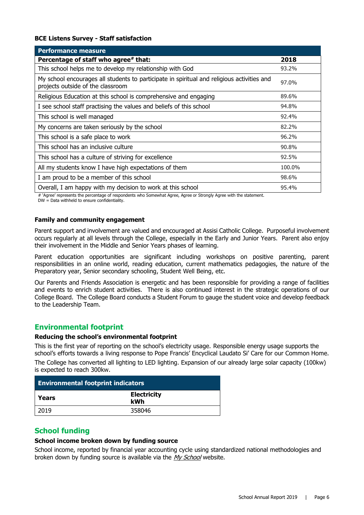### **BCE Listens Survey - Staff satisfaction**

| <b>Performance measure</b>                                                                                                      |        |
|---------------------------------------------------------------------------------------------------------------------------------|--------|
| Percentage of staff who agree# that:                                                                                            | 2018   |
| This school helps me to develop my relationship with God                                                                        | 93.2%  |
| My school encourages all students to participate in spiritual and religious activities and<br>projects outside of the classroom | 97.0%  |
| Religious Education at this school is comprehensive and engaging                                                                | 89.6%  |
| I see school staff practising the values and beliefs of this school                                                             | 94.8%  |
| This school is well managed                                                                                                     | 92.4%  |
| My concerns are taken seriously by the school                                                                                   | 82.2%  |
| This school is a safe place to work                                                                                             | 96.2%  |
| This school has an inclusive culture                                                                                            | 90.8%  |
| This school has a culture of striving for excellence                                                                            | 92.5%  |
| All my students know I have high expectations of them                                                                           | 100.0% |
| I am proud to be a member of this school                                                                                        | 98.6%  |
| Overall, I am happy with my decision to work at this school                                                                     | 95.4%  |

# 'Agree' represents the percentage of respondents who Somewhat Agree, Agree or Strongly Agree with the statement.

DW = Data withheld to ensure confidentiality.

#### **Family and community engagement**

Parent support and involvement are valued and encouraged at Assisi Catholic College. Purposeful involvement occurs regularly at all levels through the College, especially in the Early and Junior Years. Parent also enjoy their involvement in the Middle and Senior Years phases of learning.

Parent education opportunities are significant including workshops on positive parenting, parent responsibilities in an online world, reading education, current mathematics pedagogies, the nature of the Preparatory year, Senior secondary schooling, Student Well Being, etc.

Our Parents and Friends Association is energetic and has been responsible for providing a range of facilities and events to enrich student activities. There is also continued interest in the strategic operations of our College Board. The College Board conducts a Student Forum to gauge the student voice and develop feedback to the Leadership Team.

# **Environmental footprint**

### **Reducing the school's environmental footprint**

This is the first year of reporting on the school's electricity usage. Responsible energy usage supports the school's efforts towards a living response to Pope Francis' Encyclical Laudato Si' Care for our Common Home. The College has converted all lighting to LED lighting. Expansion of our already large solar capacity (100kw) is expected to reach 300kw.

| <b>Environmental footprint indicators</b> |                           |  |
|-------------------------------------------|---------------------------|--|
| Years                                     | <b>Electricity</b><br>kWh |  |
| 2019                                      | 358046                    |  |

### **School funding**

### **School income broken down by funding source**

School income, reported by financial year accounting cycle using standardized national methodologies and broken down by funding source is available via the [My School](http://www.myschool.edu.au/) website.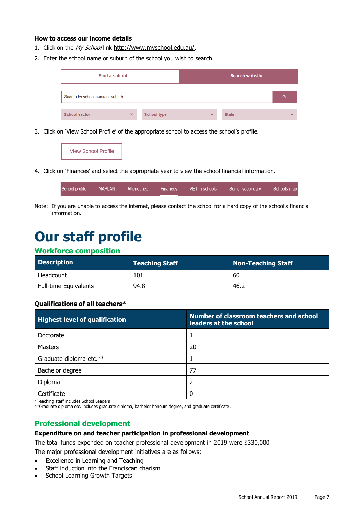### **How to access our income details**

- 1. Click on the My School link <http://www.myschool.edu.au/>.
- 2. Enter the school name or suburb of the school you wish to search.

| Find a school                   |              |                    |              | <b>Search website</b> |              |
|---------------------------------|--------------|--------------------|--------------|-----------------------|--------------|
| Search by school name or suburb |              |                    |              |                       | Go           |
| <b>School sector</b>            | $\checkmark$ | <b>School type</b> | $\checkmark$ | <b>State</b>          | $\checkmark$ |

3. Click on 'View School Profile' of the appropriate school to access the school's profile.



4. Click on 'Finances' and select the appropriate year to view the school financial information.

| School profile 1 | NAPLAN | Attendance | Finances | VET in schools | Senior secondary | Schools map |
|------------------|--------|------------|----------|----------------|------------------|-------------|
|                  |        |            |          |                |                  |             |

Note: If you are unable to access the internet, please contact the school for a hard copy of the school's financial information.

# **Our staff profile**

## **Workforce composition**

| <b>Description</b>    | <b>Teaching Staff</b> | Non-Teaching Staff |
|-----------------------|-----------------------|--------------------|
| Headcount             | 101                   | 60                 |
| Full-time Equivalents | 94.8                  | 46.2               |

### **Qualifications of all teachers\***

| <b>Highest level of qualification</b> | Number of classroom teachers and school<br>leaders at the school |
|---------------------------------------|------------------------------------------------------------------|
| Doctorate                             |                                                                  |
| <b>Masters</b>                        | 20                                                               |
| Graduate diploma etc.**               |                                                                  |
| Bachelor degree                       | 77                                                               |
| Diploma                               |                                                                  |
| Certificate                           | 0                                                                |

\*Teaching staff includes School Leaders

\*\*Graduate diploma etc. includes graduate diploma, bachelor honours degree, and graduate certificate.

# **Professional development**

### **Expenditure on and teacher participation in professional development**

The total funds expended on teacher professional development in 2019 were \$330,000

The major professional development initiatives are as follows:

- Excellence in Learning and Teaching
- Staff induction into the Franciscan charism
- School Learning Growth Targets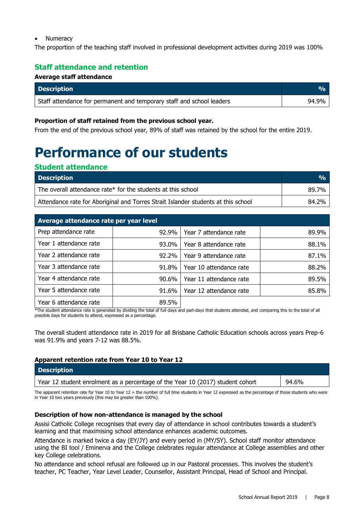### • Numeracy

The proportion of the teaching staff involved in professional development activities during 2019 was 100%

# **Staff attendance and retention**

### **Average staff attendance**

| <b>Description</b>                                                    |       |
|-----------------------------------------------------------------------|-------|
| Staff attendance for permanent and temporary staff and school leaders | 94.9% |

### **Proportion of staff retained from the previous school year.**

From the end of the previous school year, 89% of staff was retained by the school for the entire 2019.

# **Performance of our students**

### **Student attendance**

| <b>Description</b>                                                                | $\frac{0}{0}$ |
|-----------------------------------------------------------------------------------|---------------|
| The overall attendance rate* for the students at this school                      | 89.7%         |
| Attendance rate for Aboriginal and Torres Strait Islander students at this school | 84.2%         |

| Average attendance rate per year level |          |                         |       |  |
|----------------------------------------|----------|-------------------------|-------|--|
| Prep attendance rate                   | $92.9\%$ | Year 7 attendance rate  | 89.9% |  |
| Year 1 attendance rate                 | $93.0\%$ | Year 8 attendance rate  | 88.1% |  |
| Year 2 attendance rate                 | $92.2\%$ | Year 9 attendance rate  | 87.1% |  |
| Year 3 attendance rate                 | $91.8\%$ | Year 10 attendance rate | 88.2% |  |
| Year 4 attendance rate                 | $90.6\%$ | Year 11 attendance rate | 89.5% |  |
| Year 5 attendance rate                 | $91.6\%$ | Year 12 attendance rate | 85.8% |  |
| Year 6 attendance rate                 | 89.5%    |                         |       |  |

\*The student attendance rate is generated by dividing the total of full-days and part-days that students attended, and comparing this to the total of all possible days for students to attend, expressed as a percentage.

The overall student attendance rate in 2019 for all Brisbane Catholic Education schools across years Prep-6 was 91.9% and years 7-12 was 88.5%.

### **Apparent retention rate from Year 10 to Year 12**

| <b>Description</b>                                                                                                                                                                                                             |       |  |
|--------------------------------------------------------------------------------------------------------------------------------------------------------------------------------------------------------------------------------|-------|--|
| Year 12 student enrolment as a percentage of the Year 10 (2017) student cohort                                                                                                                                                 | 94.6% |  |
| The concentrational for View IA to View IA – the small of All the capital to View IA concert of the second of the control of the state of control of the state of the state of the state of the state of the state of the stat |       |  |

The apparent retention rate for Year 10 to Year 12 = the number of full time students in Year 12 expressed as the percentage of those students who were in Year 10 two years previously (this may be greater than 100%).

### **Description of how non-attendance is managed by the school**

Assisi Catholic College recognises that every day of attendance in school contributes towards a student's learning and that maximising school attendance enhances academic outcomes.

Attendance is marked twice a day (EY/JY) and every period in (MY/SY). School staff monitor attendance using the BI tool / Eminerva and the College celebrates regular attendance at College assemblies and other key College celebrations.

No attendance and school refusal are followed up in our Pastoral processes. This involves the student's teacher, PC Teacher, Year Level Leader, Counsellor, Assistant Principal, Head of School and Principal.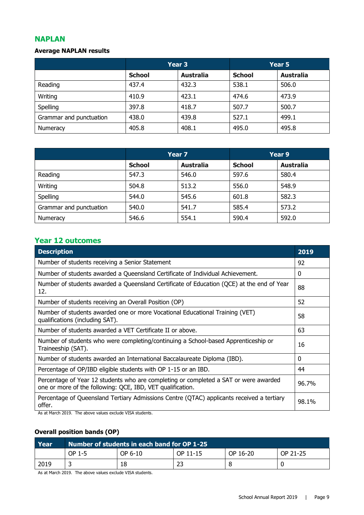# **NAPLAN**

## **Average NAPLAN results**

|                         | Year <sub>3</sub> |                  |               | Year 5           |  |
|-------------------------|-------------------|------------------|---------------|------------------|--|
|                         | <b>School</b>     | <b>Australia</b> | <b>School</b> | <b>Australia</b> |  |
| Reading                 | 437.4             | 432.3            | 538.1         | 506.0            |  |
| Writing                 | 410.9             | 423.1            | 474.6         | 473.9            |  |
| Spelling                | 397.8             | 418.7            | 507.7         | 500.7            |  |
| Grammar and punctuation | 438.0             | 439.8            | 527.1         | 499.1            |  |
| Numeracy                | 405.8             | 408.1            | 495.0         | 495.8            |  |

|                         | Year 7        |                  | Year 9        |                  |
|-------------------------|---------------|------------------|---------------|------------------|
|                         | <b>School</b> | <b>Australia</b> | <b>School</b> | <b>Australia</b> |
| Reading                 | 547.3         | 546.0            | 597.6         | 580.4            |
| Writing                 | 504.8         | 513.2            | 556.0         | 548.9            |
| Spelling                | 544.0         | 545.6            | 601.8         | 582.3            |
| Grammar and punctuation | 540.0         | 541.7            | 585.4         | 573.2            |
| Numeracy                | 546.6         | 554.1            | 590.4         | 592.0            |

# **Year 12 outcomes**

| Number of students receiving a Senior Statement<br>92<br>$\mathbf{0}$                                                                                                    |  |  |
|--------------------------------------------------------------------------------------------------------------------------------------------------------------------------|--|--|
|                                                                                                                                                                          |  |  |
| Number of students awarded a Queensland Certificate of Individual Achievement.                                                                                           |  |  |
| Number of students awarded a Queensland Certificate of Education (QCE) at the end of Year<br>88<br>12.                                                                   |  |  |
| 52<br>Number of students receiving an Overall Position (OP)                                                                                                              |  |  |
| Number of students awarded one or more Vocational Educational Training (VET)<br>58<br>qualifications (including SAT).                                                    |  |  |
| Number of students awarded a VET Certificate II or above.<br>63                                                                                                          |  |  |
| Number of students who were completing/continuing a School-based Apprenticeship or<br>Traineeship (SAT).                                                                 |  |  |
| Number of students awarded an International Baccalaureate Diploma (IBD).<br>$\Omega$                                                                                     |  |  |
| Percentage of OP/IBD eligible students with OP 1-15 or an IBD.<br>44                                                                                                     |  |  |
| Percentage of Year 12 students who are completing or completed a SAT or were awarded<br>96.7%<br>one or more of the following: QCE, IBD, VET qualification.              |  |  |
| Percentage of Queensland Tertiary Admissions Centre (QTAC) applicants received a tertiary<br>98.1%<br>offer.<br>As at March 2010. The above values evalude VICA students |  |  |

As at March 2019. The above values exclude VISA students.

# **Overall position bands (OP)**

| Year | $\,$ Number of students in each band for OP 1-25 $^\prime$ |         |          |          |          |
|------|------------------------------------------------------------|---------|----------|----------|----------|
|      | OP 1-5                                                     | OP 6-10 | OP 11-15 | OP 16-20 | OP 21-25 |
| 2019 |                                                            | 18      | 23       |          |          |

As at March 2019. The above values exclude VISA students.